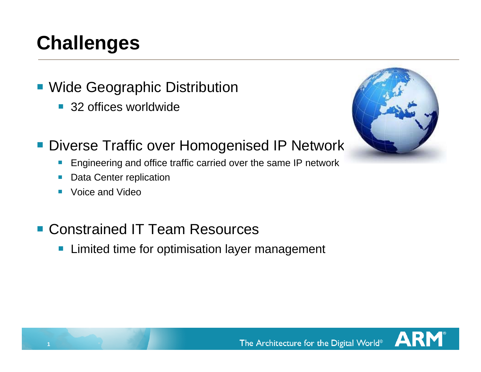## **Challenges**

- **Wide Geographic Distribution** 
	- 32 offices worldwide
- **Diverse Traffic over Homogenised IP Network** 
	- $\mathcal{L}_{\mathcal{A}}$ Engineering and office traffic carried over the same IP network
	- $\mathcal{L}_{\mathcal{A}}$ Data Center replication
	- $\mathcal{L}^{\mathcal{A}}$ Voice and Video

**1**

- **Constrained IT Team Resources** 
	- $\mathcal{L}_{\mathcal{A}}$ Limited time for optimisation layer management



AR

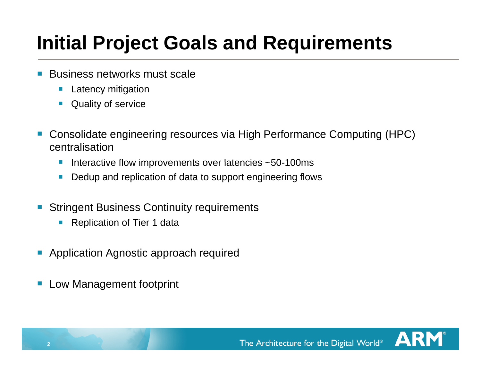# **Initial Project Goals and Requirements**

- $\mathbb{R}^3$  Business networks must scale
	- $\mathcal{L}_{\mathcal{A}}$ Latency mitigation
	- **Quality of service**
- $\mathbb{R}^3$  Consolidate engineering resources via High Performance Computing (HPC) centralisation
	- $\mathcal{L}_{\mathcal{A}}$ Interactive flow improvements over latencies  $\sim$  50-100ms
	- Dedup and replication of data to support engineering flows
- $\mathcal{L}_{\mathcal{A}}$ **Stringent Business Continuity requirements** 
	- $\vert \cdot \vert$ Replication of Tier 1 data
- $\mathcal{L}_{\mathcal{A}}$ Application Agnostic approach required
- $\mathcal{L}_{\mathcal{A}}$ Low Management footprint

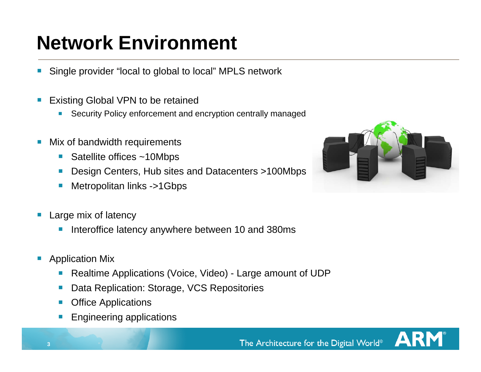# **Network Environment**

- Single provider "local to global to local" MPLS network  $\mathcal{L}_{\mathcal{A}}$
- Existing Global VPN to be retained
	- $\mathcal{L}_{\mathcal{A}}$ Security Policy enforcement and encryption centrally managed
- $\mathcal{L}_{\mathcal{A}}$  Mix of bandwidth requirements
	- Satellite offices ~10Mbps
	- Design Centers, Hub sites and Datacenters >100Mbps
	- Metropolitan links ->1Gbps
- Large mix of latency
	- $\mathbb{R}^2$ Interoffice latency anywhere between 10 and 380ms
- $\left\vert \cdot \right\vert$ **Application Mix** 
	- $\mathcal{L}_{\mathcal{A}}$ Realtime Applications (Voice, Video) - Large amount of UDP
	- $\left\vert \cdot \right\vert$ Data Replication: Storage, VCS Repositories
	- **Coffice Applications**
	- Engineering applications



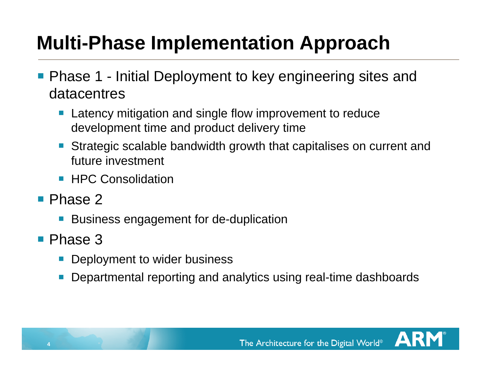# **Multi-Phase Implementation Approach**

- **Phase 1 Initial Deployment to key engineering sites and** datacentres
	- **Service Service**  Latency mitigation and single flow improvement to reduce development time and product delivery time
	- **Strategic scalable bandwidth growth that capitalises on current and** future investment
	- **HPC Consolidation**
- Phase 2
	- $\mathcal{L}_{\mathcal{A}}$ Business engagement for de-duplication
- **Phase 3**

**4**

- **Deployment to wider business**
- **Service Service** Departmental reporting and analytics using real-time dashboards



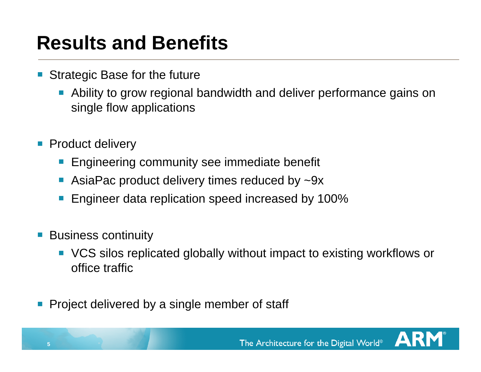## **Results and Benefits**

- Strategic Base for the future
	- Ability to grow regional bandwidth and deliver performance gains on single flow applications
- Product delivery
	- **Engineering community see immediate benefit**
	- AsiaPac product delivery times reduced by ~9x
	- Engineer data replication speed increased by 100%
- Business continuity
	- VCS silos replicated globally without impact to existing workflows or office traffic
- $\blacksquare$  Project delivered by a single member of staff

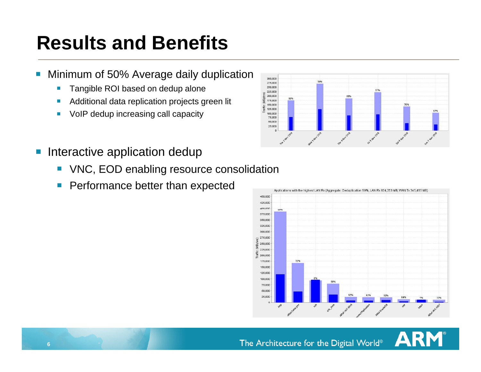## **Results and Benefits**

- $\mathcal{L}_{\mathcal{A}}$  Minimum of 50% Average daily duplication
	- $\mathcal{C}$ Tangible ROI based on dedup alone
	- $\mathcal{L}_{\mathcal{A}}$ Additional data replication projects green lit
	- $\mathcal{L}_{\mathcal{A}}$ VoIP dedup increasing call capacity



- $\mathcal{L}_{\mathcal{A}}$  Interactive application dedup
	- $\mathcal{L}^{\text{max}}_{\text{max}}$ VNC, EOD enabling resource consolidation
	- $\left\vert \cdot \right\vert$ Performance better than expected



AR